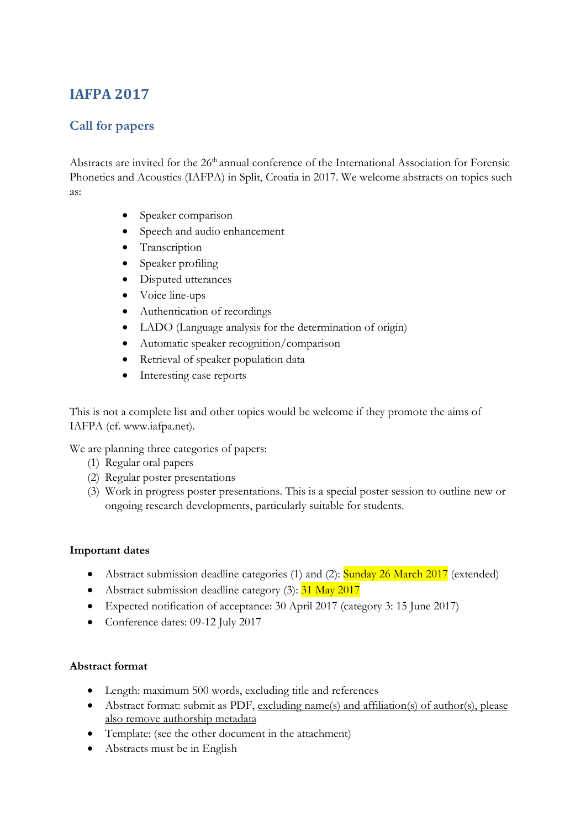# **IAFPA 2017**

## **Call for papers**

Abstracts are invited for the 26<sup>th</sup> annual conference of the International Association for Forensic Phonetics and Acoustics (IAFPA) in Split, Croatia in 2017. We welcome abstracts on topics such as:

- Speaker comparison
- Speech and audio enhancement
- Transcription
- Speaker profiling
- Disputed utterances
- Voice line-ups
- Authentication of recordings
- LADO (Language analysis for the determination of origin)
- Automatic speaker recognition/comparison
- Retrieval of speaker population data
- Interesting case reports

This is not a complete list and other topics would be welcome if they promote the aims of IAFPA (cf. [www.iafpa.net\)](http://www.iafpa.net/).

We are planning three categories of papers:

- (1) Regular oral papers
- (2) Regular poster presentations
- (3) Work in progress poster presentations. This is a special poster session to outline new or ongoing research developments, particularly suitable for students.

### **Important dates**

- Abstract submission deadline categories (1) and (2): Sunday 26 March 2017 (extended)
- Abstract submission deadline category  $(3)$ :  $31$  May 2017
- Expected notification of acceptance: 30 April 2017 (category 3: 15 June 2017)
- Conference dates: 09-12 July 2017

### **Abstract format**

- Length: maximum 500 words, excluding title and references
- Abstract format: submit as PDF, excluding name(s) and affiliation(s) of author(s), please also remove authorship metadata
- Template: (see the other document in the attachment)
- Abstracts must be in English